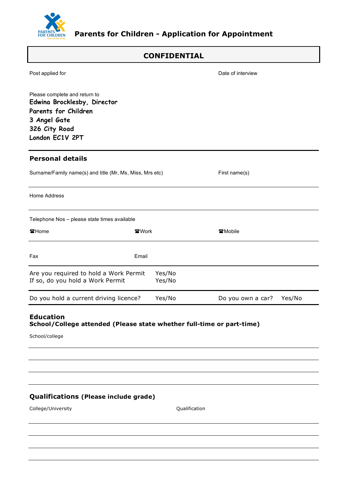

# **CONFIDENTIAL**

| Post applied for                                                                                                                         |                  | Date of interview           |
|------------------------------------------------------------------------------------------------------------------------------------------|------------------|-----------------------------|
| Please complete and return to<br>Edwina Brocklesby, Director<br>Parents for Children<br>3 Angel Gate<br>326 City Road<br>London EC1V 2PT |                  |                             |
| <b>Personal details</b>                                                                                                                  |                  |                             |
| Surname/Family name(s) and title (Mr, Ms, Miss, Mrs etc)                                                                                 |                  | First name(s)               |
| Home Address                                                                                                                             |                  |                             |
| Telephone Nos - please state times available                                                                                             |                  |                             |
| 雷Home                                                                                                                                    | 雷Work            | ☎Mobile                     |
| Fax                                                                                                                                      | Email            |                             |
| Are you required to hold a Work Permit<br>If so, do you hold a Work Permit                                                               | Yes/No<br>Yes/No |                             |
| Do you hold a current driving licence?                                                                                                   | Yes/No           | Yes/No<br>Do you own a car? |
| <b>Education</b><br>School/College attended (Please state whether full-time or part-time)<br>School/college                              |                  |                             |

# **Qualifications (Please include grade)**

College/University Qualification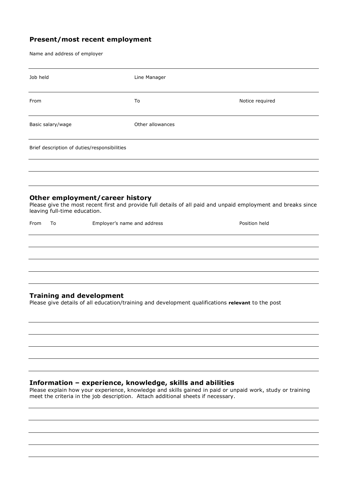## **Present/most recent employment**

Name and address of employer

| Job held                                                                                                                             | Line Manager     |                                                                                                               |  |  |
|--------------------------------------------------------------------------------------------------------------------------------------|------------------|---------------------------------------------------------------------------------------------------------------|--|--|
| From                                                                                                                                 | To               | Notice required                                                                                               |  |  |
| Basic salary/wage                                                                                                                    | Other allowances |                                                                                                               |  |  |
| Brief description of duties/responsibilities                                                                                         |                  |                                                                                                               |  |  |
|                                                                                                                                      |                  |                                                                                                               |  |  |
| Other employment/career history<br>leaving full-time education.                                                                      |                  | Please give the most recent first and provide full details of all paid and unpaid employment and breaks since |  |  |
| Employer's name and address<br>From<br>To                                                                                            |                  | Position held                                                                                                 |  |  |
|                                                                                                                                      |                  |                                                                                                               |  |  |
|                                                                                                                                      |                  |                                                                                                               |  |  |
| <b>Training and development</b><br>Please give details of all education/training and development qualifications relevant to the post |                  |                                                                                                               |  |  |
|                                                                                                                                      |                  |                                                                                                               |  |  |
|                                                                                                                                      |                  |                                                                                                               |  |  |

#### **Information – experience, knowledge, skills and abilities**

Please explain how your experience, knowledge and skills gained in paid or unpaid work, study or training meet the criteria in the job description. Attach additional sheets if necessary.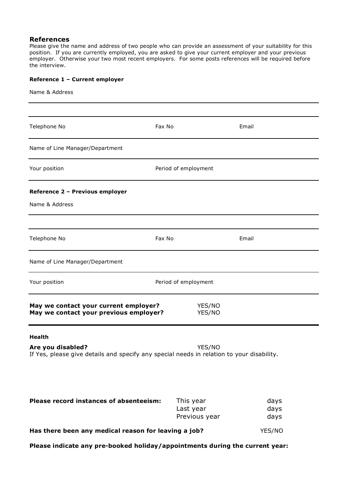#### **References**

Please give the name and address of two people who can provide an assessment of your suitability for this position. If you are currently employed, you are asked to give your current employer and your previous employer. Otherwise your two most recent employers. For some posts references will be required before the interview.

#### **Reference 1 – Current employer**

Name & Address

| Telephone No                                                                                                                    | Fax No                                  | Email                |
|---------------------------------------------------------------------------------------------------------------------------------|-----------------------------------------|----------------------|
| Name of Line Manager/Department                                                                                                 |                                         |                      |
| Your position                                                                                                                   | Period of employment                    |                      |
| Reference 2 - Previous employer                                                                                                 |                                         |                      |
| Name & Address                                                                                                                  |                                         |                      |
|                                                                                                                                 |                                         |                      |
| Telephone No                                                                                                                    | Fax No                                  | Email                |
| Name of Line Manager/Department                                                                                                 |                                         |                      |
| Your position                                                                                                                   | Period of employment                    |                      |
| May we contact your current employer?<br>May we contact your previous employer?                                                 | YES/NO<br>YES/NO                        |                      |
| <b>Health</b><br>Are you disabled?<br>If Yes, please give details and specify any special needs in relation to your disability. | YES/NO                                  |                      |
| Please record instances of absenteeism:                                                                                         | This year<br>Last year<br>Previous year | days<br>days<br>days |
| Has there been any medical reason for leaving a job?                                                                            | YES/NO                                  |                      |

**Please indicate any pre-booked holiday/appointments during the current year:**